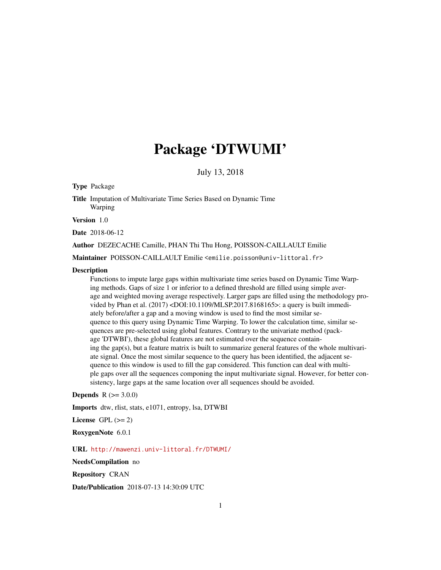## Package 'DTWUMI'

July 13, 2018

Type Package

Title Imputation of Multivariate Time Series Based on Dynamic Time Warping

Version 1.0

Date 2018-06-12

Author DEZECACHE Camille, PHAN Thi Thu Hong, POISSON-CAILLAULT Emilie

Maintainer POISSON-CAILLAULT Emilie <emilie.poisson@univ-littoral.fr>

#### **Description**

Functions to impute large gaps within multivariate time series based on Dynamic Time Warping methods. Gaps of size 1 or inferior to a defined threshold are filled using simple average and weighted moving average respectively. Larger gaps are filled using the methodology provided by Phan et al. (2017) <DOI:10.1109/MLSP.2017.8168165>: a query is built immediately before/after a gap and a moving window is used to find the most similar sequence to this query using Dynamic Time Warping. To lower the calculation time, similar sequences are pre-selected using global features. Contrary to the univariate method (package 'DTWBI'), these global features are not estimated over the sequence containing the gap(s), but a feature matrix is built to summarize general features of the whole multivariate signal. Once the most similar sequence to the query has been identified, the adjacent sequence to this window is used to fill the gap considered. This function can deal with multiple gaps over all the sequences componing the input multivariate signal. However, for better consistency, large gaps at the same location over all sequences should be avoided.

#### **Depends**  $R (= 3.0.0)$

Imports dtw, rlist, stats, e1071, entropy, lsa, DTWBI

License GPL  $(>= 2)$ 

RoxygenNote 6.0.1

URL <http://mawenzi.univ-littoral.fr/DTWUMI/>

NeedsCompilation no

Repository CRAN

Date/Publication 2018-07-13 14:30:09 UTC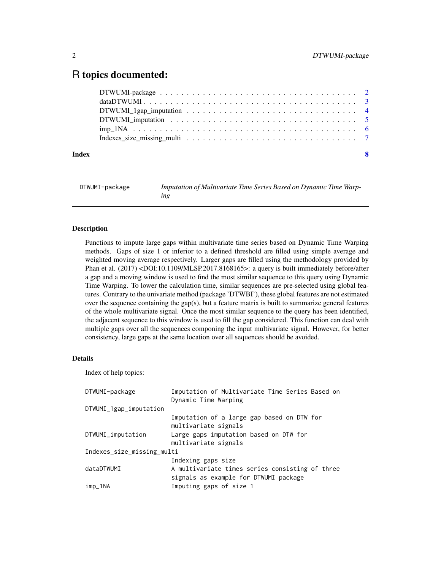### <span id="page-1-0"></span>R topics documented:

| Index | -8 |
|-------|----|

DTWUMI-package *Imputation of Multivariate Time Series Based on Dynamic Time Warping*

#### Description

Functions to impute large gaps within multivariate time series based on Dynamic Time Warping methods. Gaps of size 1 or inferior to a defined threshold are filled using simple average and weighted moving average respectively. Larger gaps are filled using the methodology provided by Phan et al. (2017) <DOI:10.1109/MLSP.2017.8168165>: a query is built immediately before/after a gap and a moving window is used to find the most similar sequence to this query using Dynamic Time Warping. To lower the calculation time, similar sequences are pre-selected using global features. Contrary to the univariate method (package 'DTWBI'), these global features are not estimated over the sequence containing the gap(s), but a feature matrix is built to summarize general features of the whole multivariate signal. Once the most similar sequence to the query has been identified, the adjacent sequence to this window is used to fill the gap considered. This function can deal with multiple gaps over all the sequences componing the input multivariate signal. However, for better consistency, large gaps at the same location over all sequences should be avoided.

#### Details

Index of help topics:

| DTWUMI-package             | Imputation of Multivariate Time Series Based on<br>Dynamic Time Warping                                        |  |  |
|----------------------------|----------------------------------------------------------------------------------------------------------------|--|--|
| DTWUMI_1gap_imputation     |                                                                                                                |  |  |
|                            | Imputation of a large gap based on DTW for<br>multivariate signals                                             |  |  |
| DTWUMI_imputation          | Large gaps imputation based on DTW for<br>multivariate signals                                                 |  |  |
| Indexes_size_missing_multi |                                                                                                                |  |  |
| dataDTWUMI                 | Indexing gaps size<br>A multivariate times series consisting of three<br>signals as example for DTWUMI package |  |  |
| imp_1NA                    | Imputing gaps of size 1                                                                                        |  |  |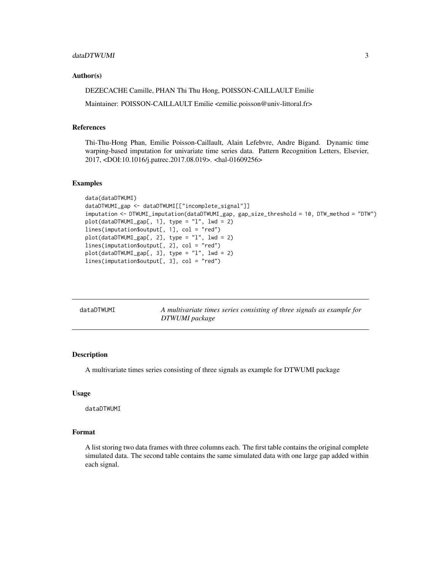#### <span id="page-2-0"></span>Author(s)

DEZECACHE Camille, PHAN Thi Thu Hong, POISSON-CAILLAULT Emilie

Maintainer: POISSON-CAILLAULT Emilie <emilie.poisson@univ-littoral.fr>

#### References

Thi-Thu-Hong Phan, Emilie Poisson-Caillault, Alain Lefebvre, Andre Bigand. Dynamic time warping-based imputation for univariate time series data. Pattern Recognition Letters, Elsevier, 2017, <DOI:10.1016/j.patrec.2017.08.019>. <hal-01609256>

#### Examples

```
data(dataDTWUMI)
dataDTWUMI_gap <- dataDTWUMI[["incomplete_signal"]]
imputation <- DTWUMI_imputation(dataDTWUMI_gap, gap_size_threshold = 10, DTW_method = "DTW")
plot(dataDTWUMI_gap[, 1], type = "l", lwd = 2)
lines(imputation$output[, 1], col = "red")
plot(dataDTWUMI_gap[, 2], type = "l", lwd = 2)
lines(imputation$output[, 2], col = "red")
plot(dataDTWUMI_gap[, 3], type = "l", lwd = 2)
lines(imputation$output[, 3], col = "red")
```

| dataDTWUMI | A multivariate times series consisting of three signals as example for |
|------------|------------------------------------------------------------------------|
|            | DTWUMI package                                                         |

#### Description

A multivariate times series consisting of three signals as example for DTWUMI package

#### Usage

dataDTWUMI

#### Format

A list storing two data frames with three columns each. The first table contains the original complete simulated data. The second table contains the same simulated data with one large gap added within each signal.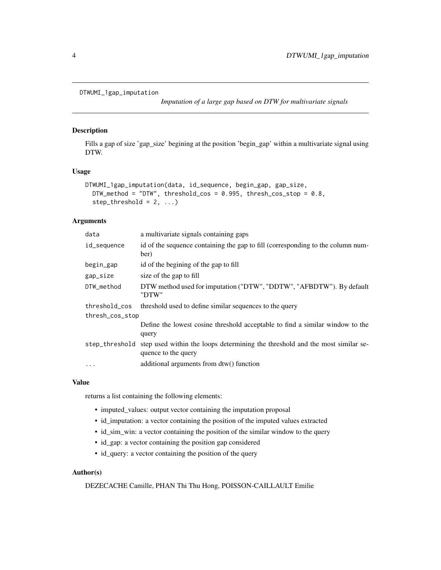```
DTWUMI_1gap_imputation
```
*Imputation of a large gap based on DTW for multivariate signals*

#### Description

Fills a gap of size 'gap\_size' begining at the position 'begin\_gap' within a multivariate signal using DTW.

#### Usage

```
DTWUMI_1gap_imputation(data, id_sequence, begin_gap, gap_size,
 DTW_method = "DTW", threshold_cos = 0.995, thresh_cos_stop = 0.8,
  step_{threshold} = 2, ...
```
#### **Arguments**

| data            | a multivariate signals containing gaps                                                                              |
|-----------------|---------------------------------------------------------------------------------------------------------------------|
| id_sequence     | id of the sequence containing the gap to fill (corresponding to the column num-<br>ber)                             |
| begin_gap       | id of the begining of the gap to fill                                                                               |
| gap_size        | size of the gap to fill                                                                                             |
| DTW_method      | DTW method used for imputation ("DTW", "DDTW", "AFBDTW"). By default<br>"DTW"                                       |
| threshold_cos   | threshold used to define similar sequences to the query                                                             |
| thresh_cos_stop |                                                                                                                     |
|                 | Define the lowest cosine threshold acceptable to find a similar window to the<br>query                              |
|                 | step_threshold step used within the loops determining the threshold and the most similar se-<br>quence to the query |
| $\ddotsc$       | additional arguments from dtw() function                                                                            |

#### Value

returns a list containing the following elements:

- imputed\_values: output vector containing the imputation proposal
- id\_imputation: a vector containing the position of the imputed values extracted
- id\_sim\_win: a vector containing the position of the similar window to the query
- id\_gap: a vector containing the position gap considered
- id\_query: a vector containing the position of the query

#### Author(s)

DEZECACHE Camille, PHAN Thi Thu Hong, POISSON-CAILLAULT Emilie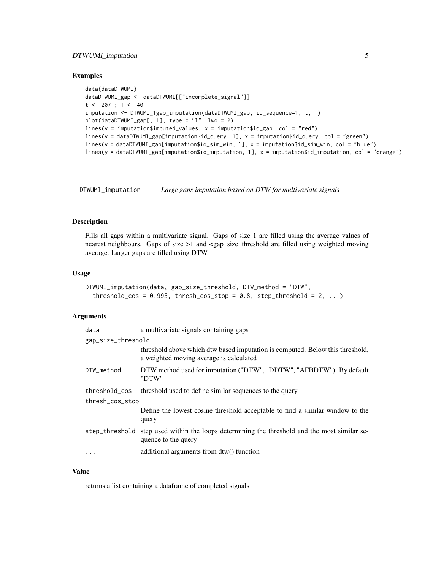#### <span id="page-4-0"></span>DTWUMI\_imputation 5

#### Examples

```
data(dataDTWUMI)
dataDTWUMI_gap <- dataDTWUMI[["incomplete_signal"]]
t <- 207 ; T <- 40
imputation <- DTWUMI_1gap_imputation(dataDTWUMI_gap, id_sequence=1, t, T)
plot(dataDTWUMI_gap[, 1], type = "l", lwd = 2)
lines(y = imputation$imputed_values, x = imputation$id_gap, col = "red")
lines(y = dataDTWUMI_gap[imputation$id_query, 1], x = imputation$id_query, col = "green")
lines(y = dataDTWUMI_gap[imputation$id_sim_win, 1], x = imputation$id_sim_win, col = "blue")
lines(y = dataDTWUMI_gap[imputation$id_imputation, 1], x = imputation$id_imputation, col = "orange")
```
DTWUMI\_imputation *Large gaps imputation based on DTW for multivariate signals*

#### Description

Fills all gaps within a multivariate signal. Gaps of size 1 are filled using the average values of nearest neighbours. Gaps of size >1 and <gap\_size\_threshold are filled using weighted moving average. Larger gaps are filled using DTW.

#### Usage

```
DTWUMI_imputation(data, gap_size_threshold, DTW_method = "DTW",
  threshold_cos = 0.995, thresh_cos_stop = 0.8, step_threshold = 2, ...)
```
#### Arguments

| data               | a multivariate signals containing gaps                                                                                   |  |  |  |
|--------------------|--------------------------------------------------------------------------------------------------------------------------|--|--|--|
| gap_size_threshold |                                                                                                                          |  |  |  |
|                    | threshold above which dtw based imputation is computed. Below this threshold,<br>a weighted moving average is calculated |  |  |  |
| DTW_method         | DTW method used for imputation ("DTW", "DDTW", "AFBDTW"). By default<br>"DTW"                                            |  |  |  |
| threshold_cos      | threshold used to define similar sequences to the query                                                                  |  |  |  |
| thresh_cos_stop    |                                                                                                                          |  |  |  |
|                    | Define the lowest cosine threshold acceptable to find a similar window to the<br>query                                   |  |  |  |
| step_threshold     | step used within the loops determining the threshold and the most similar se-<br>quence to the query                     |  |  |  |
| $\ddotsc$          | additional arguments from dtw() function                                                                                 |  |  |  |
|                    |                                                                                                                          |  |  |  |

#### Value

returns a list containing a dataframe of completed signals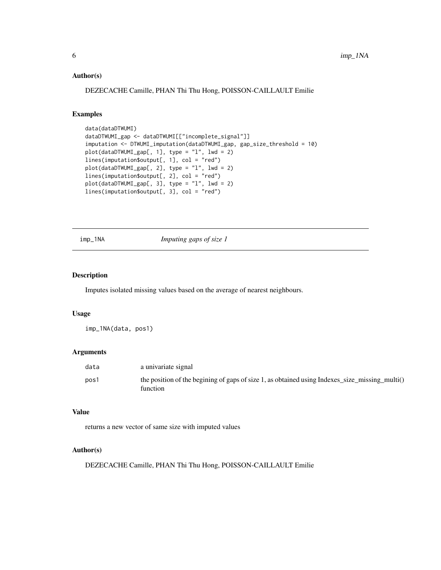#### <span id="page-5-0"></span>Author(s)

DEZECACHE Camille, PHAN Thi Thu Hong, POISSON-CAILLAULT Emilie

#### Examples

```
data(dataDTWUMI)
dataDTWUMI_gap <- dataDTWUMI[["incomplete_signal"]]
imputation <- DTWUMI_imputation(dataDTWUMI_gap, gap_size_threshold = 10)
plot(dataDTWUMI_gap[, 1], type = "l", lwd = 2)
lines(imputation$output[, 1], col = "red")
plot(dataDTWUMI_gap[, 2], type = "l", lwd = 2)
lines(imputation$output[, 2], col = "red")
plot(dataDTWUMI_gap[, 3], type = "l", lwd = 2)
lines(imputation$output[, 3], col = "red")
```
imp\_1NA *Imputing gaps of size 1*

#### Description

Imputes isolated missing values based on the average of nearest neighbours.

#### Usage

imp\_1NA(data, pos1)

#### Arguments

| data | a univariate signal                                                                                        |
|------|------------------------------------------------------------------------------------------------------------|
| pos1 | the position of the begining of gaps of size 1, as obtained using Indexes_size_missing_multi()<br>function |

#### Value

returns a new vector of same size with imputed values

#### Author(s)

DEZECACHE Camille, PHAN Thi Thu Hong, POISSON-CAILLAULT Emilie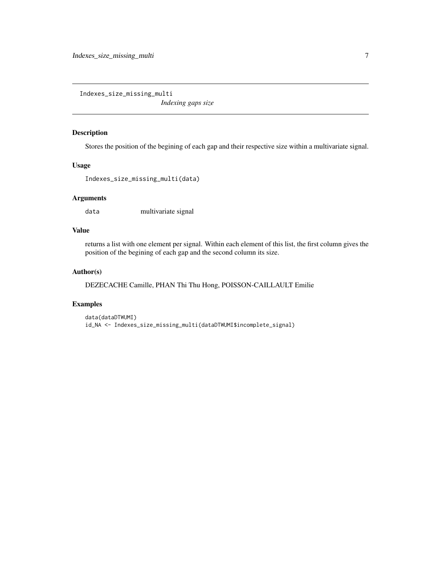<span id="page-6-0"></span>Indexes\_size\_missing\_multi

*Indexing gaps size*

#### Description

Stores the position of the begining of each gap and their respective size within a multivariate signal.

#### Usage

```
Indexes_size_missing_multi(data)
```
#### Arguments

data multivariate signal

#### Value

returns a list with one element per signal. Within each element of this list, the first column gives the position of the begining of each gap and the second column its size.

#### Author(s)

DEZECACHE Camille, PHAN Thi Thu Hong, POISSON-CAILLAULT Emilie

#### Examples

```
data(dataDTWUMI)
id_NA <- Indexes_size_missing_multi(dataDTWUMI$incomplete_signal)
```